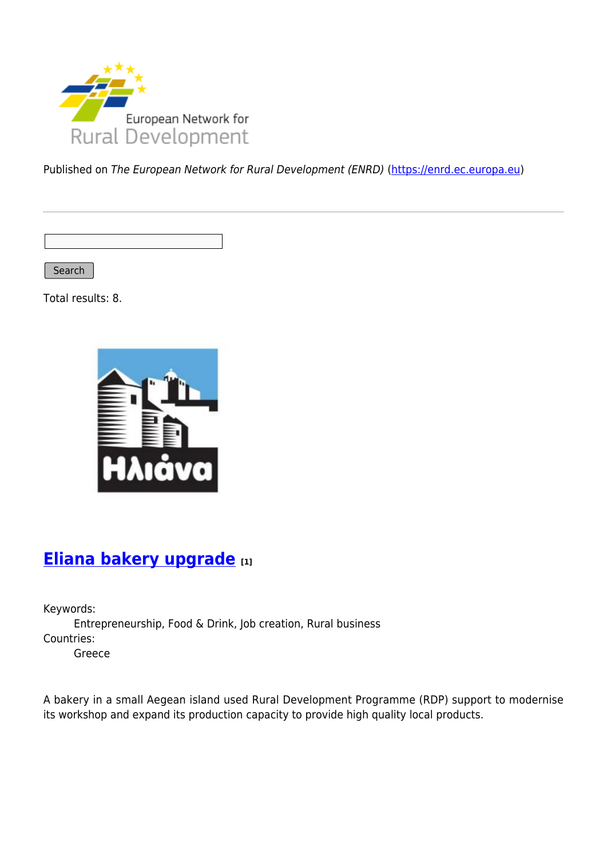

Published on The European Network for Rural Development (ENRD) [\(https://enrd.ec.europa.eu](https://enrd.ec.europa.eu))

Search

Total results: 8.



# **[Eliana bakery upgrade](https://enrd.ec.europa.eu/projects-practice/eliana-bakery-upgrade_en) [1]**

Keywords: Entrepreneurship, Food & Drink, Job creation, Rural business Countries: Greece

A bakery in a small Aegean island used Rural Development Programme (RDP) support to modernise its workshop and expand its production capacity to provide high quality local products.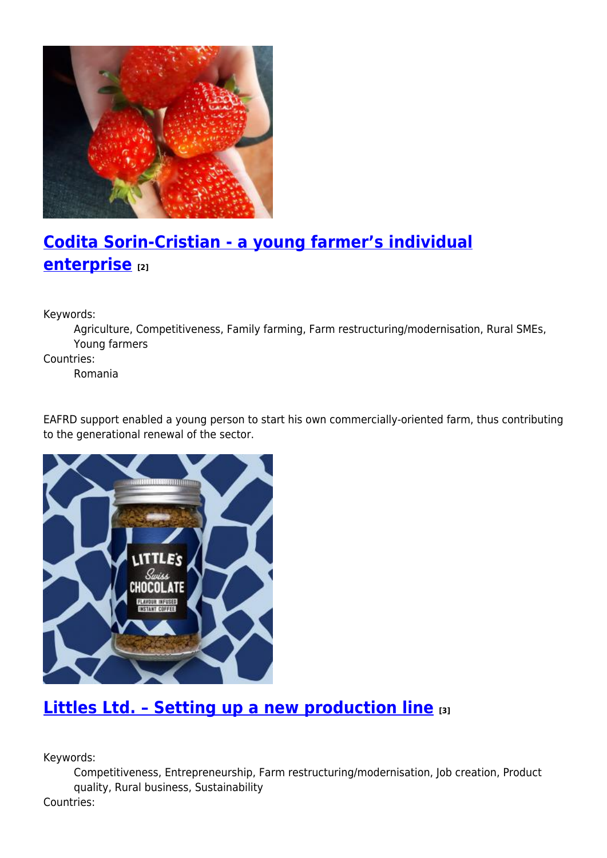

# **[Codita Sorin-Cristian - a young farmer's individual](https://enrd.ec.europa.eu/projects-practice/codita-sorin-cristian-young-farmers-individual-enterprise_en) [enterprise](https://enrd.ec.europa.eu/projects-practice/codita-sorin-cristian-young-farmers-individual-enterprise_en) [2]**

Keywords:

Agriculture, Competitiveness, Family farming, Farm restructuring/modernisation, Rural SMEs, Young farmers

Countries:

Romania

EAFRD support enabled a young person to start his own commercially-oriented farm, thus contributing to the generational renewal of the sector.



### **[Littles Ltd. – Setting up a new production line](https://enrd.ec.europa.eu/projects-practice/littles-ltd-setting-new-production-line_en) [3]**

Keywords:

Competitiveness, Entrepreneurship, Farm restructuring/modernisation, Job creation, Product quality, Rural business, Sustainability Countries: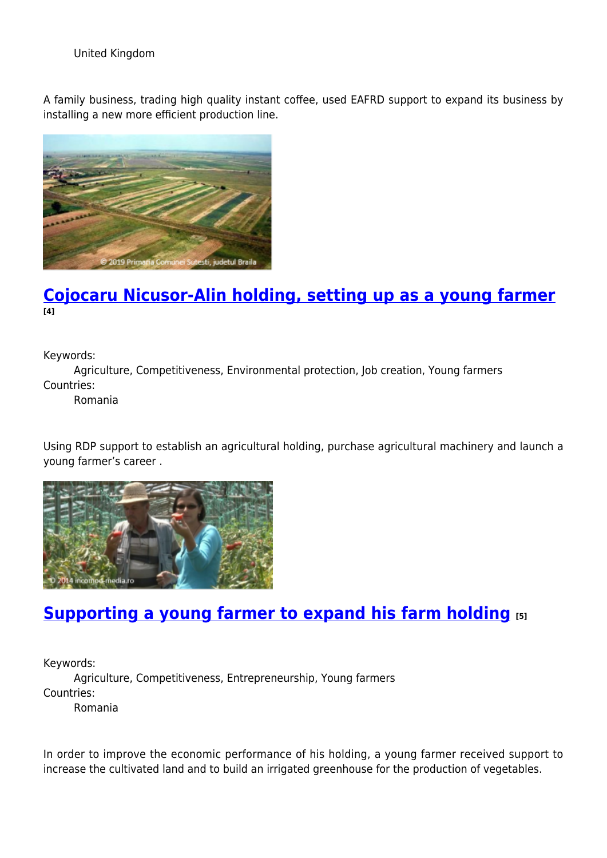United Kingdom

A family business, trading high quality instant coffee, used EAFRD support to expand its business by installing a new more efficient production line.



### **[Cojocaru Nicusor-Alin holding, setting up as a young farmer](https://enrd.ec.europa.eu/projects-practice/cojocaru-nicusor-alin-holding-setting-young-farmer_en) [4]**

Keywords:

Agriculture, Competitiveness, Environmental protection, Job creation, Young farmers Countries:

Romania

Using RDP support to establish an agricultural holding, purchase agricultural machinery and launch a young farmer's career .



### **[Supporting a young farmer to expand his farm holding](https://enrd.ec.europa.eu/projects-practice/supporting-young-farmer-expand-his-farm-holding_en) [5]**

Keywords: Agriculture, Competitiveness, Entrepreneurship, Young farmers Countries: Romania

In order to improve the economic performance of his holding, a young farmer received support to increase the cultivated land and to build an irrigated greenhouse for the production of vegetables.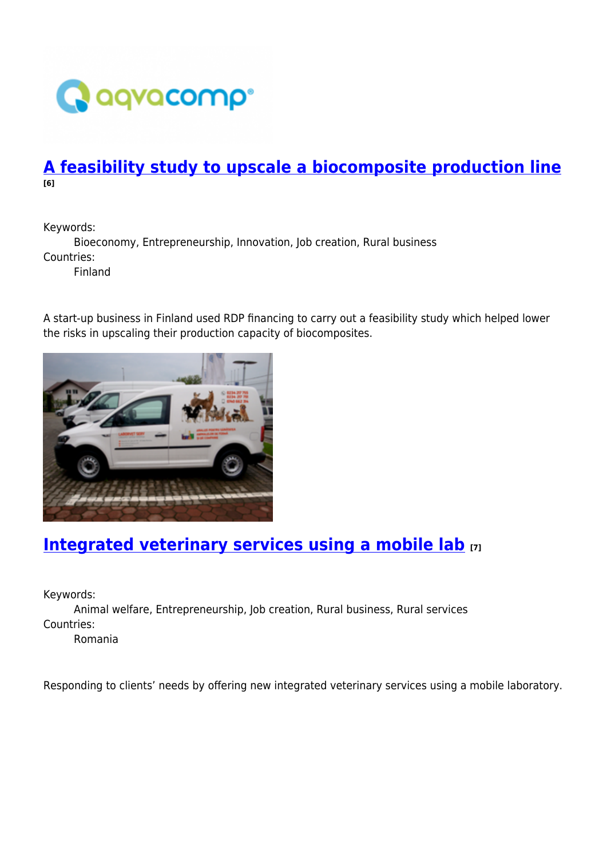

### **[A feasibility study to upscale a biocomposite production line](https://enrd.ec.europa.eu/projects-practice/feasibility-study-upscale-biocomposite-production-line_en) [6]**

Keywords:

Bioeconomy, Entrepreneurship, Innovation, Job creation, Rural business Countries:

Finland

A start-up business in Finland used RDP financing to carry out a feasibility study which helped lower the risks in upscaling their production capacity of biocomposites.



# **[Integrated veterinary services using a mobile lab](https://enrd.ec.europa.eu/projects-practice/integrated-veterinary-services-using-mobile-lab_en) [7]**

Keywords:

Animal welfare, Entrepreneurship, Job creation, Rural business, Rural services Countries: Romania

Responding to clients' needs by offering new integrated veterinary services using a mobile laboratory.